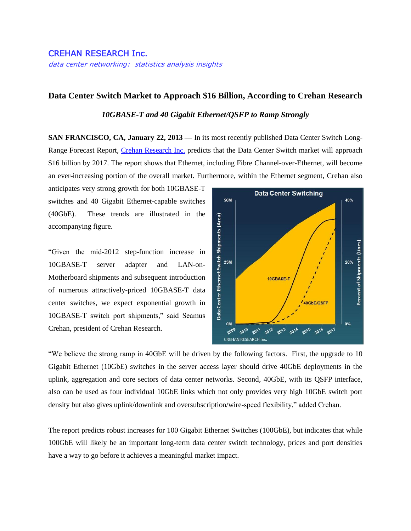## CREHAN RESEARCH Inc.

data center networking: statistics analysis insights

## **Data Center Switch Market to Approach \$16 Billion, According to Crehan Research**

## *10GBASE-T and 40 Gigabit Ethernet/QSFP to Ramp Strongly*

**SAN FRANCISCO, CA, January 22, 2013 —** In its most recently published Data Center Switch Long-Range Forecast Report, [Crehan Research](http://www.crehanresearch.com/) Inc. predicts that the Data Center Switch market will approach \$16 billion by 2017. The report shows that Ethernet, including Fibre Channel-over-Ethernet, will become an ever-increasing portion of the overall market. Furthermore, within the Ethernet segment, Crehan also

anticipates very strong growth for both 10GBASE-T switches and 40 Gigabit Ethernet-capable switches (40GbE). These trends are illustrated in the accompanying figure.

"Given the mid-2012 step-function increase in 10GBASE-T server adapter and LAN-on-Motherboard shipments and subsequent introduction of numerous attractively-priced 10GBASE-T data center switches, we expect exponential growth in 10GBASE-T switch port shipments," said Seamus Crehan, president of Crehan Research.



"We believe the strong ramp in 40GbE will be driven by the following factors. First, the upgrade to 10 Gigabit Ethernet (10GbE) switches in the server access layer should drive 40GbE deployments in the uplink, aggregation and core sectors of data center networks. Second, 40GbE, with its QSFP interface, also can be used as four individual 10GbE links which not only provides very high 10GbE switch port density but also gives uplink/downlink and oversubscription/wire-speed flexibility," added Crehan.

The report predicts robust increases for 100 Gigabit Ethernet Switches (100GbE), but indicates that while 100GbE will likely be an important long-term data center switch technology, prices and port densities have a way to go before it achieves a meaningful market impact.